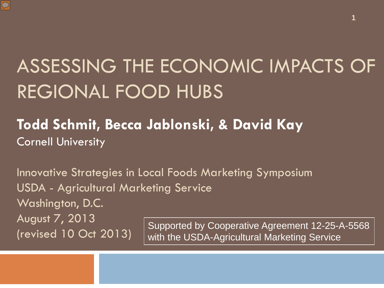

#### ASSESSING THE ECONOMIC IMPACTS OF REGIONAL FOOD HUBS

#### **Todd Schmit, Becca Jablonski, & David Kay Cornell University**

Innovative Strategies in Local Foods Marketing Symposium USDA - Agricultural Marketing Service Washington, D.C. August 7, 2013 (revised 10 Oct 2013) Supported by Cooperative Agreement 12-25-A-5568 with the USDA-Agricultural Marketing Service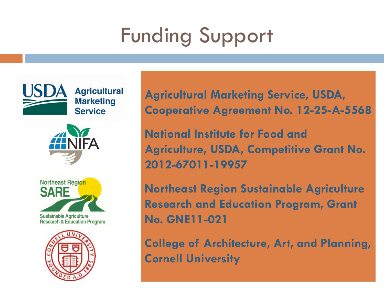## Funding Support



**Agricultural** 

**Marketing Service** 





**Agricultural Marketing Service, USDA, Cooperative Agreement No. 12-25-A-5568**

**National Institute for Food and Agriculture, USDA, Competitive Grant No. 2012-67011-19957**

**Northeast Region Sustainable Agriculture Research and Education Program, Grant No. GNE11-021**

**College of Architecture, Art, and Planning, Cornell University**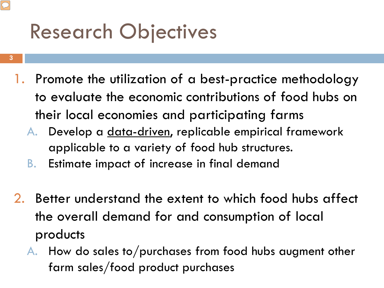### Research Objectives

**3**

- 1. Promote the utilization of a best-practice methodology to evaluate the economic contributions of food hubs on their local economies and participating farms
	- A. Develop a data-driven, replicable empirical framework applicable to a variety of food hub structures.
	- B. Estimate impact of increase in final demand
- 2. Better understand the extent to which food hubs affect the overall demand for and consumption of local products
	- A. How do sales to/purchases from food hubs augment other farm sales/food product purchases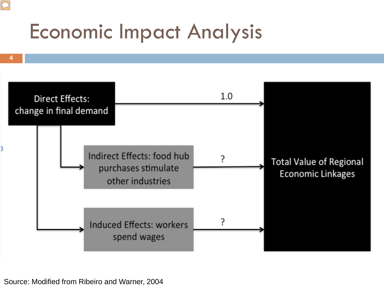### Economic Impact Analysis



Source: Modified from Ribeiro and Warner, 2004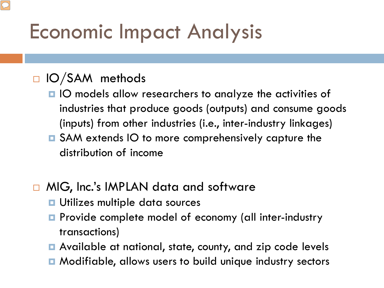### Economic Impact Analysis

#### $\Box$  IO/SAM methods

- IO models allow researchers to analyze the activities of industries that produce goods (outputs) and consume goods (inputs) from other industries (i.e., inter-industry linkages)
- **□** SAM extends IO to more comprehensively capture the distribution of income
- □ MIG, Inc.'s IMPLAN data and software
	- **<u>u</u>** Utilizes multiple data sources
	- **Provide complete model of economy (all inter-industry** transactions)
	- **□** Available at national, state, county, and zip code levels
	- **Modifiable, allows users to build unique industry sectors**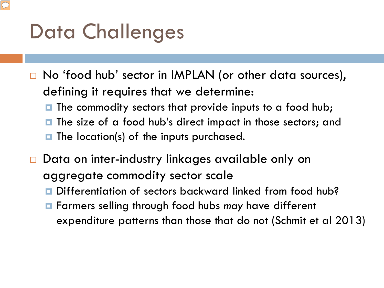### Data Challenges

- □ No 'food hub' sector in IMPLAN (or other data sources), defining it requires that we determine:
	- $\blacksquare$  The commodity sectors that provide inputs to a food hub;
	- **The size of a food hub's direct impact in those sectors; and**
	- $\blacksquare$  The location(s) of the inputs purchased.
- □ Data on inter-industry linkages available only on aggregate commodity sector scale
	- Differentiation of sectors backward linked from food hub?
	- Farmers selling through food hubs *may* have different expenditure patterns than those that do not (Schmit et al 2013)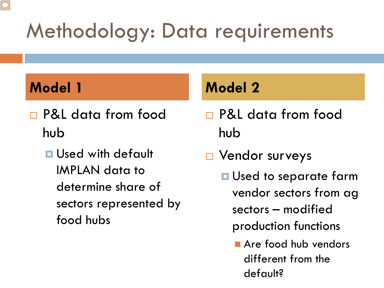### Methodology: Data requirements

- P&L data from food hub
	- **<u>E</u>** Used with default IMPLAN data to determine share of sectors represented by food hubs

#### **Model 1 Model 2**

- P&L data from food hub
- □ Vendor surveys
	- **<u>Elacored</u>** to separate farm vendor sectors from ag sectors – modified production functions
		- Are food hub vendors different from the default?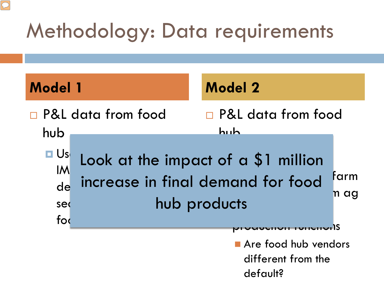### Methodology: Data requirements

 $\boxed{\bigcirc}$ 

| <b>Model 1</b>                             |                    | <b>Model 2</b>                                                                                                   |                     |
|--------------------------------------------|--------------------|------------------------------------------------------------------------------------------------------------------|---------------------|
| hub                                        | P&L data from food | <b>P&amp;L</b> data from food<br>huh                                                                             |                     |
| $\Box$ Us<br><b>IM</b><br>de<br>sed<br>fod |                    | Look at the impact of a \$1 million<br>increase in final demand for food<br>hub products<br>אווטו ווטוו <b>ע</b> | farm<br>n ag<br>-IS |
|                                            |                    | Are food hub vendors<br>different from the<br>default?                                                           |                     |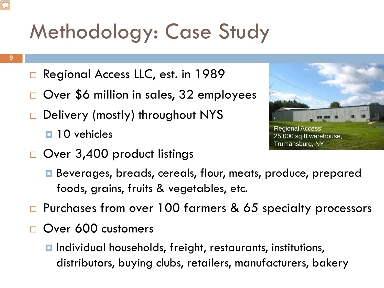## Methodology: Case Study

- **9**
- Regional Access LLC, est. in 1989
- Over \$6 million in sales, 32 employees
- Delivery (mostly) throughout NYS  $\blacksquare$  10 vehicles
- Over 3,400 product listings



- **□** Beverages, breads, cereals, flour, meats, produce, prepared foods, grains, fruits & vegetables, etc.
- □ Purchases from over 100 farmers & 65 specialty processors
- Over 600 customers
	- **□** Individual households, freight, restaurants, institutions, distributors, buying clubs, retailers, manufacturers, bakery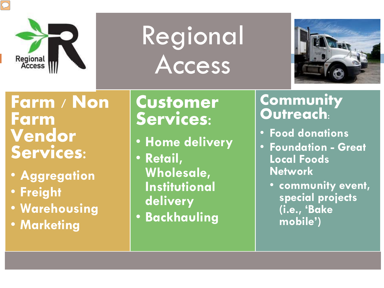

# Regional Access



**Farm / Non Farm Vendor Services:**

- **Aggregation**
- **Freight**
- **Warehousing**
- **Marketing**

#### **Customer Services:**

- **Home delivery**
- **Retail, Wholesale, Institutional delivery**
- **Backhauling**

#### **Community Outreach:**

- **Food donations**
- **Foundation - Great Local Foods Network**
	- **community event, special projects (i.e., 'Bake mobile')**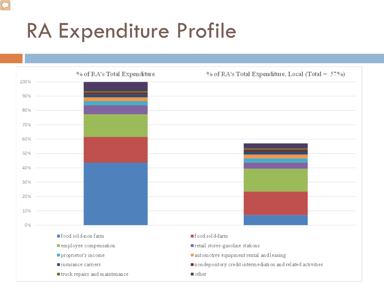#### RA Expenditure Profile

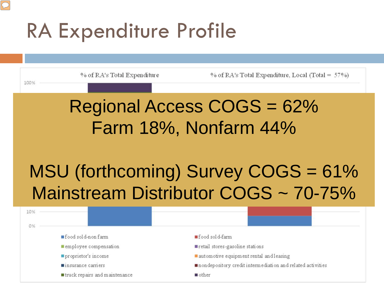#### RA Expenditure Profile

![](_page_11_Figure_1.jpeg)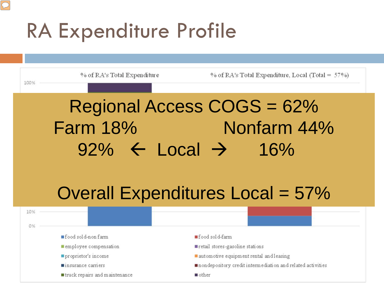#### RA Expenditure Profile

![](_page_12_Figure_1.jpeg)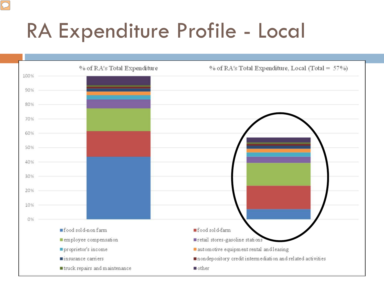### RA Expenditure Profile - Local

![](_page_13_Figure_1.jpeg)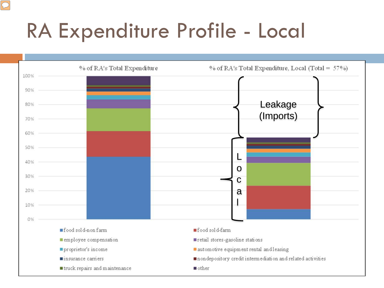### RA Expenditure Profile - Local

![](_page_14_Figure_1.jpeg)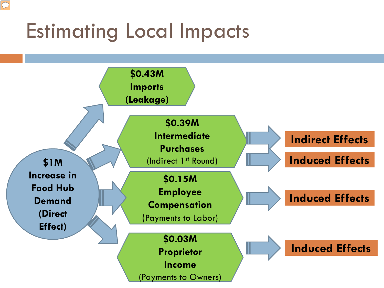### Estimating Local Impacts

 $\boxed{\bigcirc}$ 

![](_page_15_Figure_1.jpeg)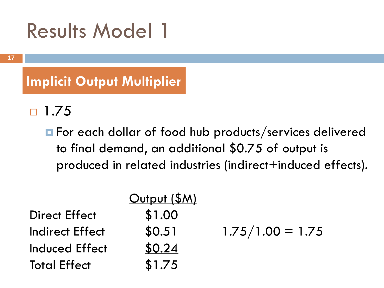#### Results Model 1

**Implicit Output Multiplier**

 $\Box$  1.75

**For each dollar of food hub products/services delivered** to final demand, an additional \$0.75 of output is produced in related industries (indirect+induced effects).

|                        | Output (\$M) |                    |
|------------------------|--------------|--------------------|
| <b>Direct Effect</b>   | \$1.00       |                    |
| <b>Indirect Effect</b> | \$0.51       | $1.75/1.00 = 1.75$ |
| Induced Effect         | \$0.24       |                    |
| <b>Total Effect</b>    | \$1.75       |                    |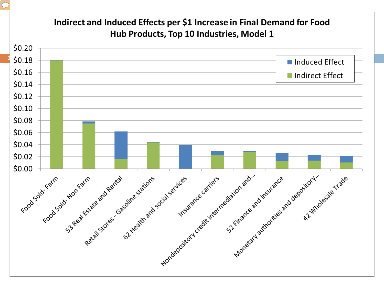![](_page_17_Figure_0.jpeg)

#### $\boxed{\bigcirc}$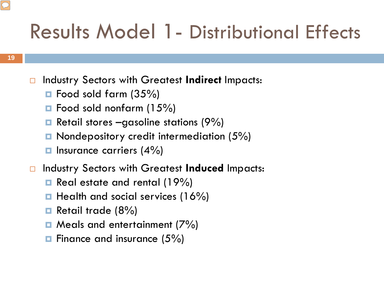#### Results Model 1- Distributional Effects

- □ Industry Sectors with Greatest Indirect Impacts:
	- $\blacksquare$  Food sold farm (35%)
	- $\blacksquare$  Food sold nonfarm (15%)
	- **Retail stores –gasoline stations (9%)**
	- $\blacksquare$  Nondepository credit intermediation (5%)
	- $\blacksquare$  Insurance carriers (4%)
- Industry Sectors with Greatest **Induced** Impacts:
	- **Real estate and rental (19%)**
	- $\blacksquare$  Health and social services (16%)
	- **Retail trade (8%)**
	- $\Box$  Meals and entertainment (7%)
	- $\blacksquare$  Finance and insurance (5%)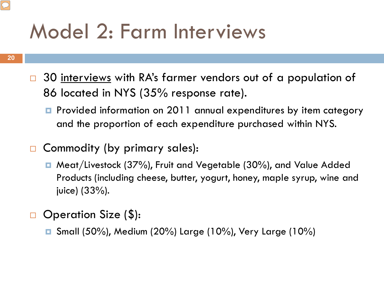### Model 2: Farm Interviews

- 30 interviews with RA's farmer vendors out of a population of 86 located in NYS (35% response rate).
	- **P** Provided information on 2011 annual expenditures by item category and the proportion of each expenditure purchased within NYS.
- □ Commodity (by primary sales):
	- Meat/Livestock (37%), Fruit and Vegetable (30%), and Value Added Products (including cheese, butter, yogurt, honey, maple syrup, wine and juice) (33%).
- Operation Size (\$):
	- Small (50%), Medium (20%) Large (10%), Very Large (10%)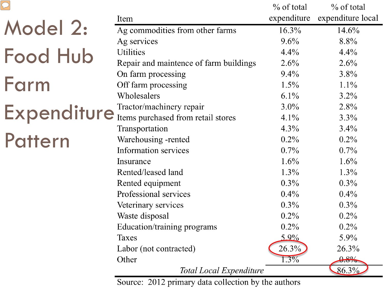|                                         |                                        | $\%$ of total | $\%$ of total     |
|-----------------------------------------|----------------------------------------|---------------|-------------------|
|                                         | Item                                   | expenditure   | expenditure local |
| Model 2:                                | Ag commodities from other farms        | 16.3%         | 14.6%             |
|                                         | Ag services                            | 9.6%          | 8.8%              |
| <b>Food Hub</b>                         | <b>Utilities</b>                       | $4.4\%$       | 4.4%              |
|                                         | Repair and maintence of farm buildings | $2.6\%$       | 2.6%              |
|                                         | On farm processing                     | 9.4%          | $3.8\%$           |
| Farm                                    | Off farm processing                    | $1.5\%$       | $1.1\%$           |
|                                         | Wholesalers                            | $6.1\%$       | $3.2\%$           |
|                                         | Tractor/machinery repair               | $3.0\%$       | 2.8%              |
|                                         | Expenditure Iractor/machinery repair   | $4.1\%$       | $3.3\%$           |
|                                         | Transportation                         | $4.3\%$       | $3.4\%$           |
| Pattern                                 | Warehousing -rented                    | $0.2\%$       | $0.2\%$           |
|                                         | <b>Information services</b>            | $0.7\%$       | $0.7\%$           |
|                                         | Insurance                              | $1.6\%$       | $1.6\%$           |
|                                         | Rented/leased land                     | $1.3\%$       | $1.3\%$           |
|                                         | Rented equipment                       | $0.3\%$       | $0.3\%$           |
|                                         | Professional services                  | $0.4\%$       | $0.4\%$           |
|                                         | Veterinary services                    | $0.3\%$       | $0.3\%$           |
|                                         | Waste disposal                         | $0.2\%$       | $0.2\%$           |
|                                         | Education/training programs            | $0.2\%$       | $0.2\%$           |
|                                         | <b>Taxes</b>                           | $5.9\%$       | $5.9\%$           |
|                                         | Labor (not contracted)                 | 26.3%         | 26.3%             |
|                                         | Other                                  | $1.3\%$       | 0.8%              |
| 86.3%<br><b>Total Local Expenditure</b> |                                        |               |                   |

 $\boxed{\bigcirc}$ 

**Total Local Expenditure** 

Source: 2012 primary data collection by the authors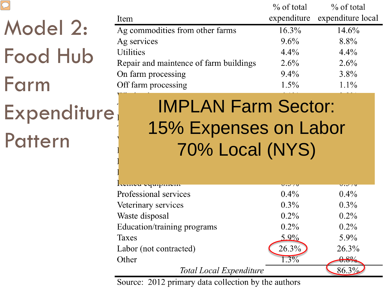|--|

#### Model 2: Food Hub Farm **22**

**Expenditure** 

Pattern

|                                        | $\%$ of total | $\%$ of total     |
|----------------------------------------|---------------|-------------------|
| Item                                   | expenditure   | expenditure local |
| Ag commodities from other farms        | $16.3\%$      | $14.6\%$          |
| Ag services                            | $9.6\%$       | $8.8\%$           |
| <b>Utilities</b>                       | $4.4\%$       | $4.4\%$           |
| Repair and maintence of farm buildings | $2.6\%$       | $2.6\%$           |
| On farm processing                     | $9.4\%$       | $3.8\%$           |
| Off farm processing                    | $1.5\%$       | $1.1\%$           |

IMPLAN Farm Sector: 15% Expenses on Labor 70% Local (NYS)

| Iwnivu vyuipinvin           | $\mathbf{v} \cdot \mathbf{v} \neq \mathbf{v}$ | $\overline{v}$ . $\overline{v}$ / $\overline{v}$ |
|-----------------------------|-----------------------------------------------|--------------------------------------------------|
| Professional services       | $0.4\%$                                       | $0.4\%$                                          |
| Veterinary services         | $0.3\%$                                       | $0.3\%$                                          |
| Waste disposal              | $0.2\%$                                       | $0.2\%$                                          |
| Education/training programs | $0.2\%$                                       | $0.2\%$                                          |
| Taxes                       | $5.9\%$                                       | $5.9\%$                                          |
| Labor (not contracted)      | 26.3%                                         | 26.3%                                            |
| Other                       | $1.3\%$                                       | $0.8\%$                                          |
| Total Local Expenditure     |                                               | 86.3%                                            |

Source: 2012 primary data collection by the authors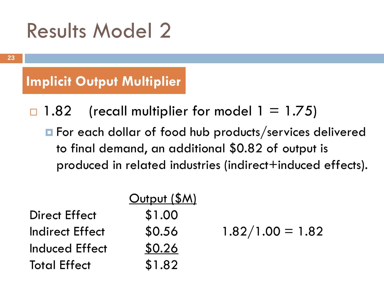#### Results Model 2

**Implicit Output Multiplier**

 $\Box$  1.82 (recall multiplier for model 1 = 1.75) **For each dollar of food hub products/services delivered** to final demand, an additional \$0.82 of output is produced in related industries (indirect+induced effects).

|                        | Output (\$M) |                    |
|------------------------|--------------|--------------------|
| <b>Direct Effect</b>   | \$1.00       |                    |
| <b>Indirect Effect</b> | \$0.56       | $1.82/1.00 = 1.82$ |
| Induced Effect         | \$0.26       |                    |
| <b>Total Effect</b>    | \$1.82       |                    |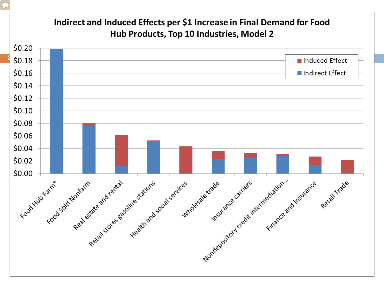![](_page_23_Figure_0.jpeg)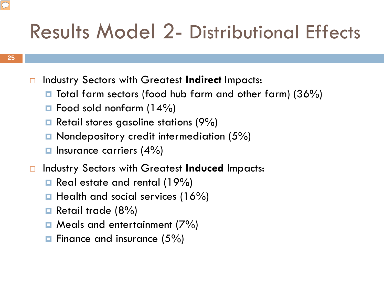#### Results Model 2- Distributional Effects

- Industry Sectors with Greatest **Indirect** Impacts:
	- $\blacksquare$  Total farm sectors (food hub farm and other farm) (36%)
	- $\blacksquare$  Food sold nonfarm (14%)
	- **Retail stores gasoline stations (9%)**
	- **n** Nondepository credit intermediation (5%)
	- $\blacksquare$  Insurance carriers (4%)
- Industry Sectors with Greatest **Induced** Impacts:
	- **□** Real estate and rental (19%)
	- $\blacksquare$  Health and social services (16%)
	- **Retail trade (8%)**
	- $\Box$  Meals and entertainment (7%)
	- $\blacksquare$  Finance and insurance (5%)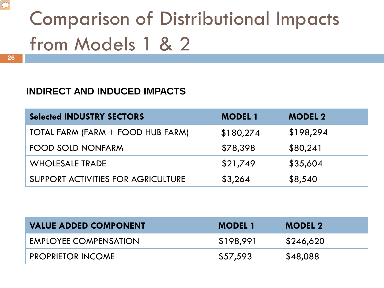### Comparison of Distributional Impacts from Models 1 & 2

#### **INDIRECT AND INDUCED IMPACTS**

| <b>Selected INDUSTRY SECTORS</b>   | <b>MODEL 1</b> | <b>MODEL 2</b> |
|------------------------------------|----------------|----------------|
| TOTAL FARM (FARM + FOOD HUB FARM)  | \$180,274      | \$198,294      |
| <b>FOOD SOLD NONFARM</b>           | \$78,398       | \$80,241       |
| <b>WHOLESALE TRADE</b>             | \$21,749       | \$35,604       |
| SUPPORT ACTIVITIES FOR AGRICULTURE | \$3,264        | \$8,540        |

| <b>VALUE ADDED COMPONENT</b> | <b>MODEL 1</b> | <b>MODEL 2</b> |
|------------------------------|----------------|----------------|
| <b>EMPLOYEE COMPENSATION</b> | \$198,991      | \$246,620      |
| <b>PROPRIETOR INCOME</b>     | \$57,593       | \$48,088       |

 $\boxed{\bigcirc}$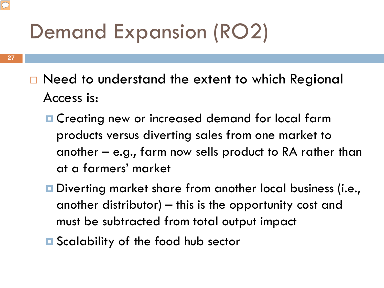### Demand Expansion (RO2)

- **27**
- □ Need to understand the extent to which Regional Access is:
	- **E** Creating new or increased demand for local farm products versus diverting sales from one market to another – e.g., farm now sells product to RA rather than at a farmers' market
	- Diverting market share from another local business (i.e., another distributor) – this is the opportunity cost and must be subtracted from total output impact
	- **□** Scalability of the food hub sector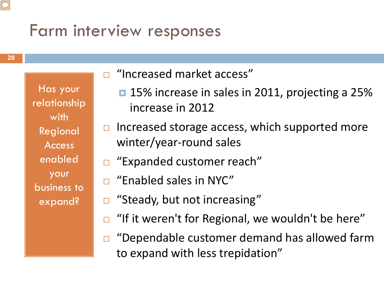#### Farm interview responses

Has your relationship with Regional Access enabled your business to expand?

**28**

#### □ "Increased market access"

- **15% increase in sales in 2011, projecting a 25%** increase in 2012
- $\Box$  Increased storage access, which supported more winter/year-round sales
- □ "Expanded customer reach"
- □ "Enabled sales in NYC"
- □ "Steady, but not increasing"
- "If it weren't for Regional, we wouldn't be here"
- □ "Dependable customer demand has allowed farm to expand with less trepidation"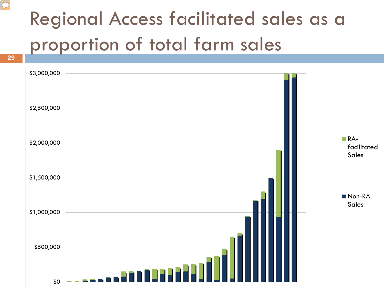### Regional Access facilitated sales as a proportion of total farm sales

![](_page_28_Figure_1.jpeg)

**29**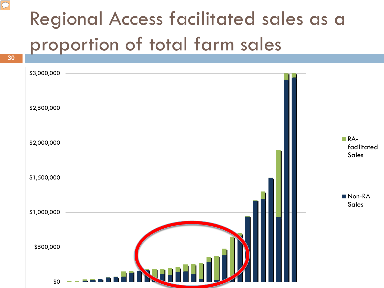### Regional Access facilitated sales as a proportion of total farm sales

![](_page_29_Figure_1.jpeg)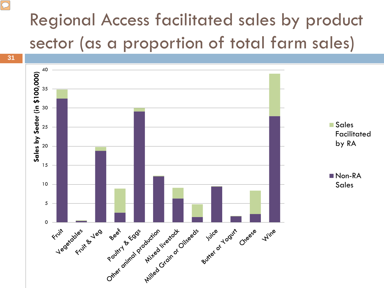#### Regional Access facilitated sales by product sector (as a proportion of total farm sales)

 $\boxed{\bigcirc}$ 

![](_page_30_Figure_1.jpeg)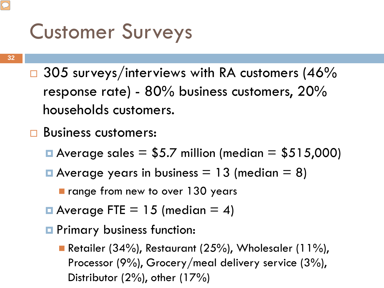### Customer Surveys

- $\Box$  305 surveys/interviews with RA customers (46% response rate) - 80% business customers, 20% households customers.
- □ Business customers:
	- Average sales  $= $5.7$  million (median  $= $515,000$ )
	- Average years in business  $= 13$  (median  $= 8$ )
		- range from new to over 130 years
	- **Average FTE** = 15 (median = 4)
	- **Primary business function:** 
		- Retailer (34%), Restaurant (25%), Wholesaler (11%), Processor (9%), Grocery/meal delivery service (3%), Distributor (2%), other (17%)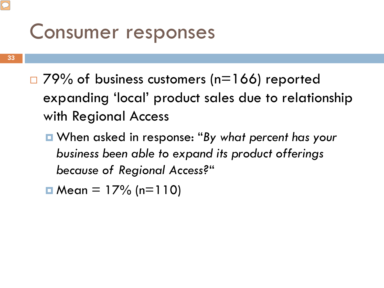#### Consumer responses

- **33**
- $\Box$  79% of business customers (n=166) reported expanding 'local' product sales due to relationship with Regional Access
	- When asked in response: "*By what percent has your business been able to expand its product offerings because of Regional Access?*"
	- $\Box$  Mean = 17% (n=110)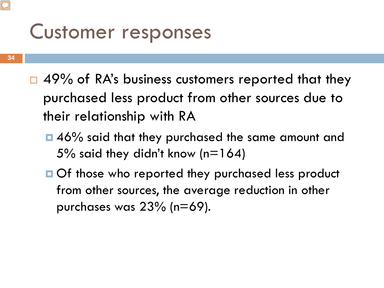#### Customer responses

- **34**
- $\Box$  49% of RA's business customers reported that they purchased less product from other sources due to their relationship with RA
	- ■46% said that they purchased the same amount and 5% said they didn't know ( $n=164$ )
	- **Of those who reported they purchased less product** from other sources, the average reduction in other purchases was 23% (n=69).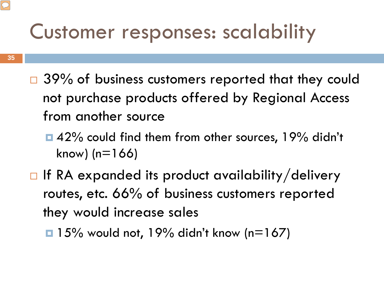#### Customer responses: scalability

- **35**
- $\Box$  39% of business customers reported that they could not purchase products offered by Regional Access from another source
	- ■42% could find them from other sources, 19% didn't  $know)$  (n=166)
- $\Box$  If RA expanded its product availability/delivery routes, etc. 66% of business customers reported they would increase sales
	- $\Box$  15% would not, 19% didn't know (n=167)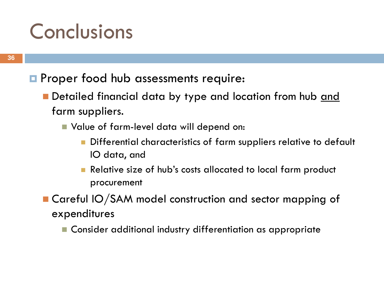#### **Conclusions**

- **P** Proper food hub assessments require:
	- Detailed financial data by type and location from hub <u>and</u> farm suppliers.
		- Value of farm-level data will depend on:
			- Differential characteristics of farm suppliers relative to default IO data, and
			- **Relative size of hub's costs allocated to local farm product** procurement

■ Careful IO/SAM model construction and sector mapping of expenditures

**E** Consider additional industry differentiation as appropriate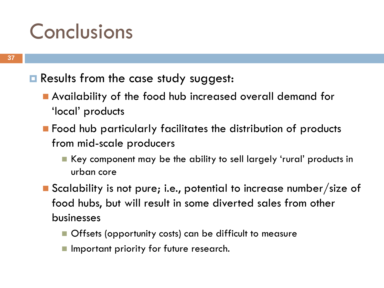#### **Conclusions**

#### **Results from the case study suggest:**

- Availability of the food hub increased overall demand for 'local' products
- **Food hub particularly facilitates the distribution of products** from mid-scale producers
	- Key component may be the ability to sell largely 'rural' products in urban core
- Scalability is not pure; i.e., potential to increase number/size of food hubs, but will result in some diverted sales from other businesses
	- **Offsets (opportunity costs) can be difficult to measure**
	- **Important priority for future research.**